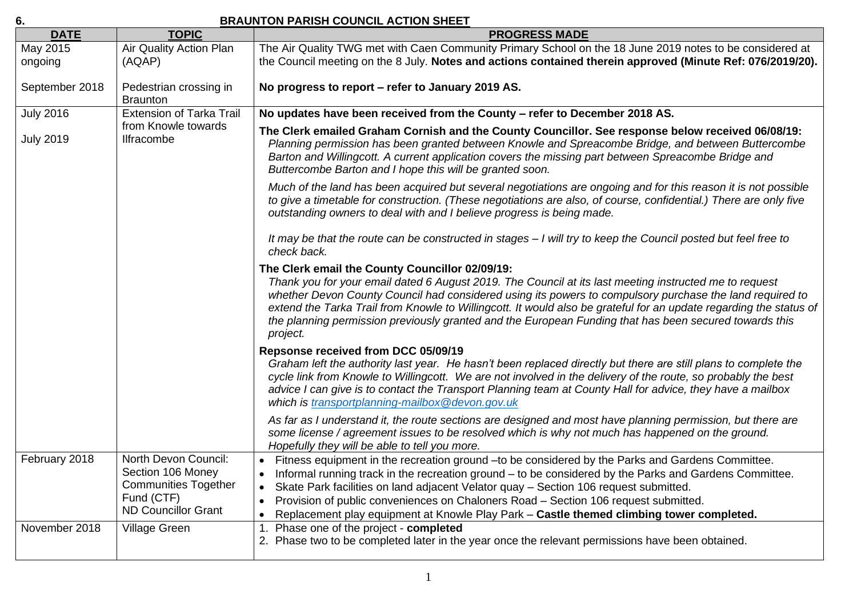## **6. BRAUNTON PARISH COUNCIL ACTION SHEET**

| <b>DATE</b>         | <b>TOPIC</b>                                                                                                         | <b>PROGRESS MADE</b>                                                                                                                                                                                                                                                                                                                                                                                                                                                                                              |
|---------------------|----------------------------------------------------------------------------------------------------------------------|-------------------------------------------------------------------------------------------------------------------------------------------------------------------------------------------------------------------------------------------------------------------------------------------------------------------------------------------------------------------------------------------------------------------------------------------------------------------------------------------------------------------|
| May 2015<br>ongoing | Air Quality Action Plan<br>(AQAP)                                                                                    | The Air Quality TWG met with Caen Community Primary School on the 18 June 2019 notes to be considered at<br>the Council meeting on the 8 July. Notes and actions contained therein approved (Minute Ref: 076/2019/20).                                                                                                                                                                                                                                                                                            |
| September 2018      | Pedestrian crossing in<br><b>Braunton</b>                                                                            | No progress to report - refer to January 2019 AS.                                                                                                                                                                                                                                                                                                                                                                                                                                                                 |
| <b>July 2016</b>    | <b>Extension of Tarka Trail</b><br>from Knowle towards<br><b>Ilfracombe</b>                                          | No updates have been received from the County - refer to December 2018 AS.                                                                                                                                                                                                                                                                                                                                                                                                                                        |
| <b>July 2019</b>    |                                                                                                                      | The Clerk emailed Graham Cornish and the County Councillor. See response below received 06/08/19:<br>Planning permission has been granted between Knowle and Spreacombe Bridge, and between Buttercombe<br>Barton and Willingcott. A current application covers the missing part between Spreacombe Bridge and<br>Buttercombe Barton and I hope this will be granted soon.                                                                                                                                        |
|                     |                                                                                                                      | Much of the land has been acquired but several negotiations are ongoing and for this reason it is not possible<br>to give a timetable for construction. (These negotiations are also, of course, confidential.) There are only five<br>outstanding owners to deal with and I believe progress is being made.                                                                                                                                                                                                      |
|                     |                                                                                                                      | It may be that the route can be constructed in stages - I will try to keep the Council posted but feel free to<br>check back.                                                                                                                                                                                                                                                                                                                                                                                     |
|                     |                                                                                                                      | The Clerk email the County Councillor 02/09/19:<br>Thank you for your email dated 6 August 2019. The Council at its last meeting instructed me to request<br>whether Devon County Council had considered using its powers to compulsory purchase the land required to<br>extend the Tarka Trail from Knowle to Willingcott. It would also be grateful for an update regarding the status of<br>the planning permission previously granted and the European Funding that has been secured towards this<br>project. |
|                     |                                                                                                                      | Repsonse received from DCC 05/09/19<br>Graham left the authority last year. He hasn't been replaced directly but there are still plans to complete the<br>cycle link from Knowle to Willingcott. We are not involved in the delivery of the route, so probably the best<br>advice I can give is to contact the Transport Planning team at County Hall for advice, they have a mailbox<br>which is transportplanning-mailbox@devon.gov.uk                                                                          |
|                     |                                                                                                                      | As far as I understand it, the route sections are designed and most have planning permission, but there are<br>some license / agreement issues to be resolved which is why not much has happened on the ground.<br>Hopefully they will be able to tell you more.                                                                                                                                                                                                                                                  |
| February 2018       | North Devon Council:<br>Section 106 Money<br><b>Communities Together</b><br>Fund (CTF)<br><b>ND Councillor Grant</b> | Fitness equipment in the recreation ground - to be considered by the Parks and Gardens Committee.<br>Informal running track in the recreation ground – to be considered by the Parks and Gardens Committee.<br>Skate Park facilities on land adjacent Velator quay - Section 106 request submitted.<br>$\bullet$<br>Provision of public conveniences on Chaloners Road - Section 106 request submitted.<br>Replacement play equipment at Knowle Play Park - Castle themed climbing tower completed.<br>$\bullet$  |
| November 2018       | Village Green                                                                                                        | 1. Phase one of the project - completed<br>2. Phase two to be completed later in the year once the relevant permissions have been obtained.                                                                                                                                                                                                                                                                                                                                                                       |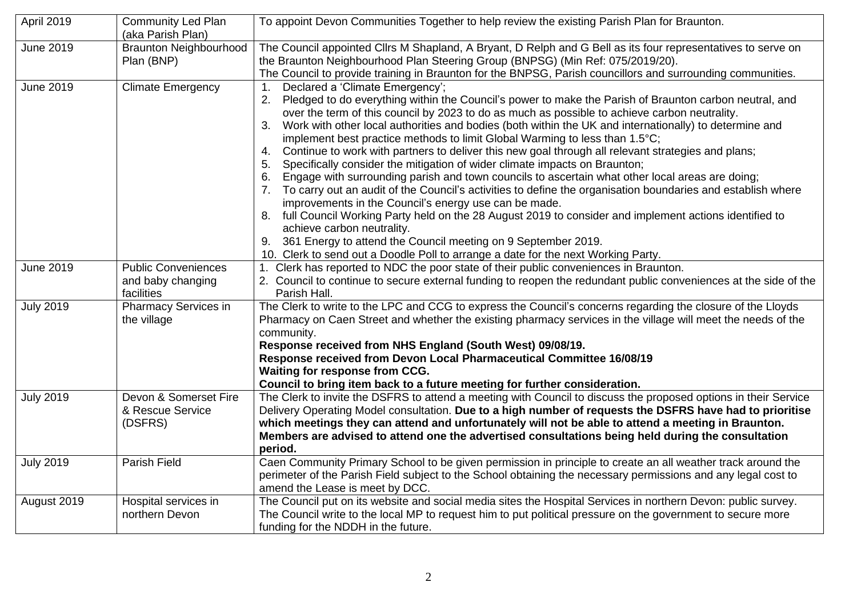| April 2019       | <b>Community Led Plan</b><br>(aka Parish Plan)                | To appoint Devon Communities Together to help review the existing Parish Plan for Braunton.                                                                                                                                                                                                                                                                                                                                                                                                                                                                                                                                                                                                                                                                                                                                                                                                                                                                                                                                                                                                                                                                                                                                                              |
|------------------|---------------------------------------------------------------|----------------------------------------------------------------------------------------------------------------------------------------------------------------------------------------------------------------------------------------------------------------------------------------------------------------------------------------------------------------------------------------------------------------------------------------------------------------------------------------------------------------------------------------------------------------------------------------------------------------------------------------------------------------------------------------------------------------------------------------------------------------------------------------------------------------------------------------------------------------------------------------------------------------------------------------------------------------------------------------------------------------------------------------------------------------------------------------------------------------------------------------------------------------------------------------------------------------------------------------------------------|
| <b>June 2019</b> | <b>Braunton Neighbourhood</b><br>Plan (BNP)                   | The Council appointed Cllrs M Shapland, A Bryant, D Relph and G Bell as its four representatives to serve on<br>the Braunton Neighbourhood Plan Steering Group (BNPSG) (Min Ref: 075/2019/20).<br>The Council to provide training in Braunton for the BNPSG, Parish councillors and surrounding communities.                                                                                                                                                                                                                                                                                                                                                                                                                                                                                                                                                                                                                                                                                                                                                                                                                                                                                                                                             |
| <b>June 2019</b> | <b>Climate Emergency</b>                                      | Declared a 'Climate Emergency';<br>1 <sub>1</sub><br>Pledged to do everything within the Council's power to make the Parish of Braunton carbon neutral, and<br>over the term of this council by 2023 to do as much as possible to achieve carbon neutrality.<br>Work with other local authorities and bodies (both within the UK and internationally) to determine and<br>3.<br>implement best practice methods to limit Global Warming to less than 1.5°C;<br>Continue to work with partners to deliver this new goal through all relevant strategies and plans;<br>4.<br>Specifically consider the mitigation of wider climate impacts on Braunton;<br>5.<br>Engage with surrounding parish and town councils to ascertain what other local areas are doing;<br>6.<br>To carry out an audit of the Council's activities to define the organisation boundaries and establish where<br>7.<br>improvements in the Council's energy use can be made.<br>8. full Council Working Party held on the 28 August 2019 to consider and implement actions identified to<br>achieve carbon neutrality.<br>361 Energy to attend the Council meeting on 9 September 2019.<br>9.<br>10. Clerk to send out a Doodle Poll to arrange a date for the next Working Party. |
| <b>June 2019</b> | <b>Public Conveniences</b><br>and baby changing<br>facilities | 1. Clerk has reported to NDC the poor state of their public conveniences in Braunton.<br>2. Council to continue to secure external funding to reopen the redundant public conveniences at the side of the<br>Parish Hall.                                                                                                                                                                                                                                                                                                                                                                                                                                                                                                                                                                                                                                                                                                                                                                                                                                                                                                                                                                                                                                |
| <b>July 2019</b> | <b>Pharmacy Services in</b><br>the village                    | The Clerk to write to the LPC and CCG to express the Council's concerns regarding the closure of the Lloyds<br>Pharmacy on Caen Street and whether the existing pharmacy services in the village will meet the needs of the<br>community.<br>Response received from NHS England (South West) 09/08/19.<br>Response received from Devon Local Pharmaceutical Committee 16/08/19<br>Waiting for response from CCG.<br>Council to bring item back to a future meeting for further consideration.                                                                                                                                                                                                                                                                                                                                                                                                                                                                                                                                                                                                                                                                                                                                                            |
| <b>July 2019</b> | Devon & Somerset Fire<br>& Rescue Service<br>(DSFRS)          | The Clerk to invite the DSFRS to attend a meeting with Council to discuss the proposed options in their Service<br>Delivery Operating Model consultation. Due to a high number of requests the DSFRS have had to prioritise<br>which meetings they can attend and unfortunately will not be able to attend a meeting in Braunton.<br>Members are advised to attend one the advertised consultations being held during the consultation<br>period.                                                                                                                                                                                                                                                                                                                                                                                                                                                                                                                                                                                                                                                                                                                                                                                                        |
| <b>July 2019</b> | Parish Field                                                  | Caen Community Primary School to be given permission in principle to create an all weather track around the<br>perimeter of the Parish Field subject to the School obtaining the necessary permissions and any legal cost to<br>amend the Lease is meet by DCC.                                                                                                                                                                                                                                                                                                                                                                                                                                                                                                                                                                                                                                                                                                                                                                                                                                                                                                                                                                                          |
| August 2019      | Hospital services in<br>northern Devon                        | The Council put on its website and social media sites the Hospital Services in northern Devon: public survey.<br>The Council write to the local MP to request him to put political pressure on the government to secure more<br>funding for the NDDH in the future.                                                                                                                                                                                                                                                                                                                                                                                                                                                                                                                                                                                                                                                                                                                                                                                                                                                                                                                                                                                      |